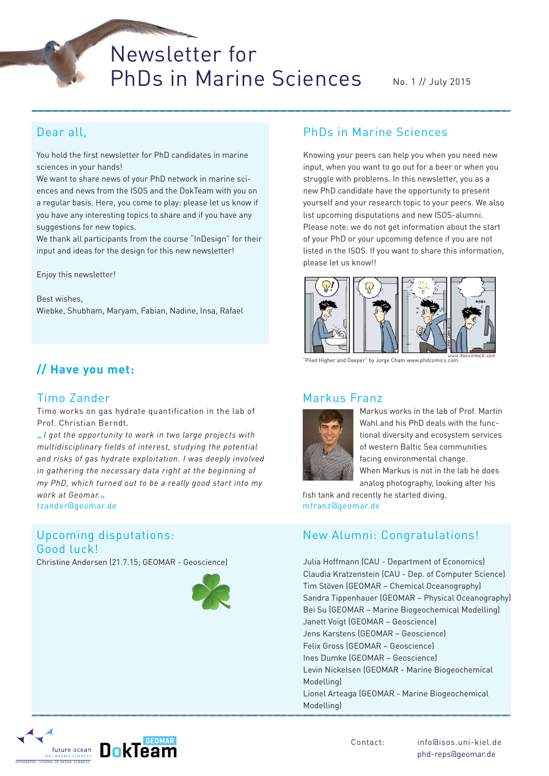Newsletter for PhDs in Marine Sciences

No. 1 // July 2015

## Dear all,

You hold the first newsletter for PhD candidates in marine sciences in your hands!

We want to share news of your PhD network in marine sciences and news from the ISOS and the DokTeam with you on a regular basis. Here, you come to play: please let us know if you have any interesting topics to share and if you have any suggestions for new topics.

We thank all participants from the course "InDesign" for their input and ideas for the design for this new newsletter!

Enjoy this newsletter!

Best wishes, Wiebke, Shubham, Maryam, Fabian, Nadine, Insa, Rafael

# **// Have you met:**

## Timo Zander

Timo works on gas hydrate quantification in the lab of Prof. Christian Berndt.

» *I got the opportunity to work in two large projects with multidisciplinary fields of interest, studying the potential and risks of gas hydrate exploitation. I was deeply involved in gathering the necessary data right at the beginning of my PhD, which turned out to be a really good start into my work at Geomar.*« tzander@geomar.de

## Upcoming disputations: Good luck!

Christine Andersen (21.7.15; GEOMAR - Geoscience) Julia Hoffmann (CAU - Department of Economics)



## PhDs in Marine Sciences

Knowing your peers can help you when you need new input, when you want to go out for a beer or when you struggle with problems. In this newsletter, you as a new PhD candidate have the opportunity to present yourself and your research topic to your peers. We also list upcoming disputations and new ISOS-alumni. Please note: we do not get information about the start of your PhD or your upcoming defence if you are not listed in the ISOS. If you want to share this information, please let us know!!



"Piled Higher and Deeper" by Jorge Cham www.phdcomics.com

#### Markus Franz



Markus works in the lab of Prof. Martin Wahl and his PhD deals with the functional diversity and ecosystem services of western Baltic Sea communities facing environmental change. When Markus is not in the lab he does analog photography, looking after his

fish tank and recently he started diving. mfranz@geomar.de

## New Alumni: Congratulations!

Claudia Kratzenstein (CAU - Dep. of Computer Science) Tim Stöven (GEOMAR – Chemical Oceanography) Sandra Tippenhauer (GEOMAR – Physical Oceanography) Bei Su (GEOMAR – Marine Biogeochemical Modelling) Janett Voigt (GEOMAR – Geoscience) Jens Karstens (GEOMAR – Geoscience) Felix Gross (GEOMAR – Geoscience) Ines Dumke (GEOMAR – Geoscience) Levin Nickelsen (GEOMAR - Marine Biogeochemical Modelling) Lionel Arteaga (GEOMAR - Marine Biogeochemical Modelling)

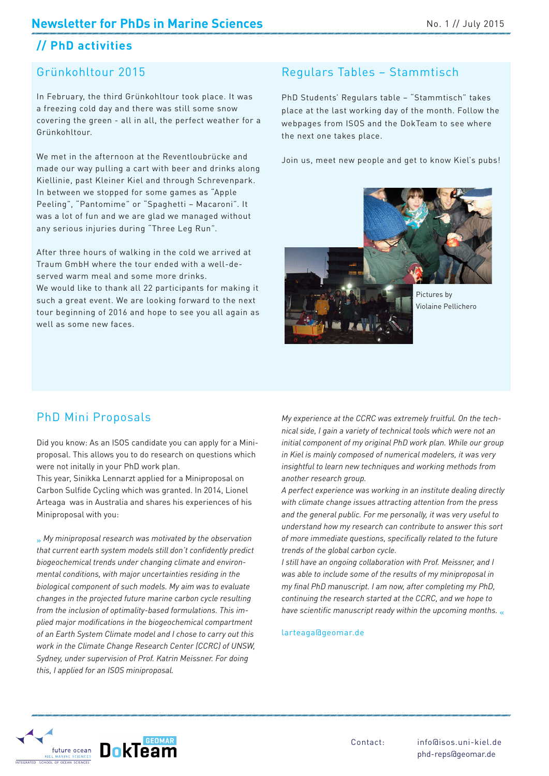# **// PhD activities**

## Grünkohltour 2015

In February, the third Grünkohltour took place. It was a freezing cold day and there was still some snow covering the green - all in all, the perfect weather for a Grünkohltour.

We met in the afternoon at the Reventloubrücke and made our way pulling a cart with beer and drinks along Kiellinie, past Kleiner Kiel and through Schrevenpark. In between we stopped for some games as "Apple Peeling", "Pantomime" or "Spaghetti – Macaroni". It was a lot of fun and we are glad we managed without any serious injuries during "Three Leg Run".

After three hours of walking in the cold we arrived at Traum GmbH where the tour ended with a well-deserved warm meal and some more drinks. We would like to thank all 22 participants for making it such a great event. We are looking forward to the next tour beginning of 2016 and hope to see you all again as well as some new faces.

## Regulars Tables – Stammtisch

PhD Students' Regulars table – "Stammtisch" takes place at the last working day of the month. Follow the webpages from ISOS and the DokTeam to see where the next one takes place.

Join us, meet new people and get to know Kiel's pubs!

Pictures by Violaine Pellichero

### PhD Mini Proposals

Did you know: As an ISOS candidate you can apply for a Miniproposal. This allows you to do research on questions which were not initally in your PhD work plan.

This year, Sinikka Lennarzt applied for a Miniproposal on Carbon Sulfide Cycling which was granted. In 2014, Lionel Arteaga was in Australia and shares his experiences of his Miniproposal with you:

» *My miniproposal research was motivated by the observation that current earth system models still don't confidently predict biogeochemical trends under changing climate and environmental conditions, with major uncertainties residing in the biological component of such models. My aim was to evaluate changes in the projected future marine carbon cycle resulting from the inclusion of optimality-based formulations. This implied major modifications in the biogeochemical compartment of an Earth System Climate model and I chose to carry out this work in the Climate Change Research Center (CCRC) of UNSW, Sydney, under supervision of Prof. Katrin Meissner. For doing this, I applied for an ISOS miniproposal.*

*My experience at the CCRC was extremely fruitful. On the technical side, I gain a variety of technical tools which were not an initial component of my original PhD work plan. While our group in Kiel is mainly composed of numerical modelers, it was very insightful to learn new techniques and working methods from another research group.*

*A perfect experience was working in an institute dealing directly with climate change issues attracting attention from the press and the general public. For me personally, it was very useful to understand how my research can contribute to answer this sort of more immediate questions, specifically related to the future trends of the global carbon cycle.*

*I still have an ongoing collaboration with Prof. Meissner, and I was able to include some of the results of my miniproposal in my final PhD manuscript. I am now, after completing my PhD, continuing the research started at the CCRC, and we hope to have scientific manuscript ready within the upcoming months.* «

larteaga@geomar.de

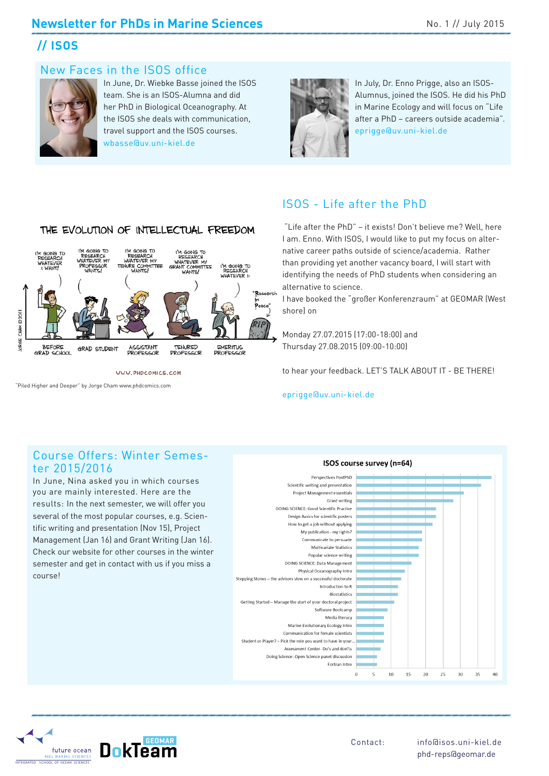## **Newsletter for PhDs in Marine Sciences No. 1 // July 2015**

# **// ISOS**

#### New Faces in the ISOS office



In June, Dr. Wiebke Basse joined the ISOS team. She is an ISOS-Alumna and did her PhD in Biological Oceanography. At the ISOS she deals with communication, travel support and the ISOS courses. wbasse@uv.uni-kiel.de



In July, Dr. Enno Prigge, also an ISOS-Alumnus, joined the ISOS. He did his PhD in Marine Ecology and will focus on "Life after a PhD – careers outside academia". eprigge@uv.uni-kiel.de



WWW.PHDCOMICS.COM

"Piled Higher and Deeper" by Jorge Cham www.phdcomics.com

## ISOS - Life after the PhD

 "Life after the PhD" – it exists! Don't believe me? Well, here I am. Enno. With ISOS, I would like to put my focus on alternative career paths outside of science/academia. Rather than providing yet another vacancy board, I will start with identifying the needs of PhD students when considering an alternative to science.

I have booked the "großer Konferenzraum" at GEOMAR (West shore) on

Monday 27.07.2015 (17:00-18:00) and Thursday 27.08.2015 (09:00-10:00)

to hear your feedback. LET'S TALK ABOUT IT - BE THERE!

#### eprigge@uv.uni-kiel.de

#### Course Offers: Winter Semester 2015/2016

In June, Nina asked you in which courses you are mainly interested. Here are the results: In the next semester, we will offer you several of the most popular courses, e.g. Scientific writing and presentation (Nov 15), Project Management (Jan 16) and Grant Writing (Jan 16). Check our website for other courses in the winter semester and get in contact with us if you miss a course!